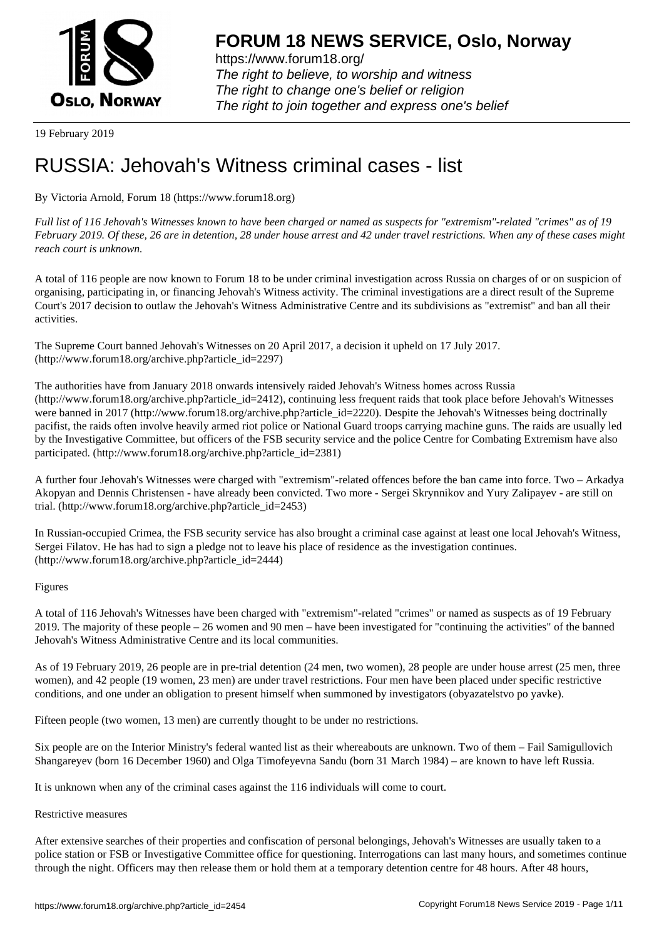

https://www.forum18.org/ The right to believe, to worship and witness The right to change one's belief or religion [The right to join together a](https://www.forum18.org/)nd express one's belief

19 February 2019

# [RUSSIA: Jehov](https://www.forum18.org)ah's Witness criminal cases - list

By Victoria Arnold, Forum 18 (https://www.forum18.org)

*Full list of 116 Jehovah's Witnesses known to have been charged or named as suspects for "extremism"-related "crimes" as of 19 February 2019. Of these, 26 are in detention, 28 under house arrest and 42 under travel restrictions. When any of these cases might reach court is unknown.*

A total of 116 people are now known to Forum 18 to be under criminal investigation across Russia on charges of or on suspicion of organising, participating in, or financing Jehovah's Witness activity. The criminal investigations are a direct result of the Supreme Court's 2017 decision to outlaw the Jehovah's Witness Administrative Centre and its subdivisions as "extremist" and ban all their activities.

The Supreme Court banned Jehovah's Witnesses on 20 April 2017, a decision it upheld on 17 July 2017. (http://www.forum18.org/archive.php?article\_id=2297)

The authorities have from January 2018 onwards intensively raided Jehovah's Witness homes across Russia (http://www.forum18.org/archive.php?article\_id=2412), continuing less frequent raids that took place before Jehovah's Witnesses were banned in 2017 (http://www.forum18.org/archive.php?article\_id=2220). Despite the Jehovah's Witnesses being doctrinally pacifist, the raids often involve heavily armed riot police or National Guard troops carrying machine guns. The raids are usually led by the Investigative Committee, but officers of the FSB security service and the police Centre for Combating Extremism have also participated. (http://www.forum18.org/archive.php?article\_id=2381)

A further four Jehovah's Witnesses were charged with "extremism"-related offences before the ban came into force. Two – Arkadya Akopyan and Dennis Christensen - have already been convicted. Two more - Sergei Skrynnikov and Yury Zalipayev - are still on trial. (http://www.forum18.org/archive.php?article\_id=2453)

In Russian-occupied Crimea, the FSB security service has also brought a criminal case against at least one local Jehovah's Witness, Sergei Filatov. He has had to sign a pledge not to leave his place of residence as the investigation continues. (http://www.forum18.org/archive.php?article\_id=2444)

# Figures

A total of 116 Jehovah's Witnesses have been charged with "extremism"-related "crimes" or named as suspects as of 19 February 2019. The majority of these people – 26 women and 90 men – have been investigated for "continuing the activities" of the banned Jehovah's Witness Administrative Centre and its local communities.

As of 19 February 2019, 26 people are in pre-trial detention (24 men, two women), 28 people are under house arrest (25 men, three women), and 42 people (19 women, 23 men) are under travel restrictions. Four men have been placed under specific restrictive conditions, and one under an obligation to present himself when summoned by investigators (obyazatelstvo po yavke).

Fifteen people (two women, 13 men) are currently thought to be under no restrictions.

Six people are on the Interior Ministry's federal wanted list as their whereabouts are unknown. Two of them – Fail Samigullovich Shangareyev (born 16 December 1960) and Olga Timofeyevna Sandu (born 31 March 1984) – are known to have left Russia.

It is unknown when any of the criminal cases against the 116 individuals will come to court.

# Restrictive measures

After extensive searches of their properties and confiscation of personal belongings, Jehovah's Witnesses are usually taken to a police station or FSB or Investigative Committee office for questioning. Interrogations can last many hours, and sometimes continue through the night. Officers may then release them or hold them at a temporary detention centre for 48 hours. After 48 hours,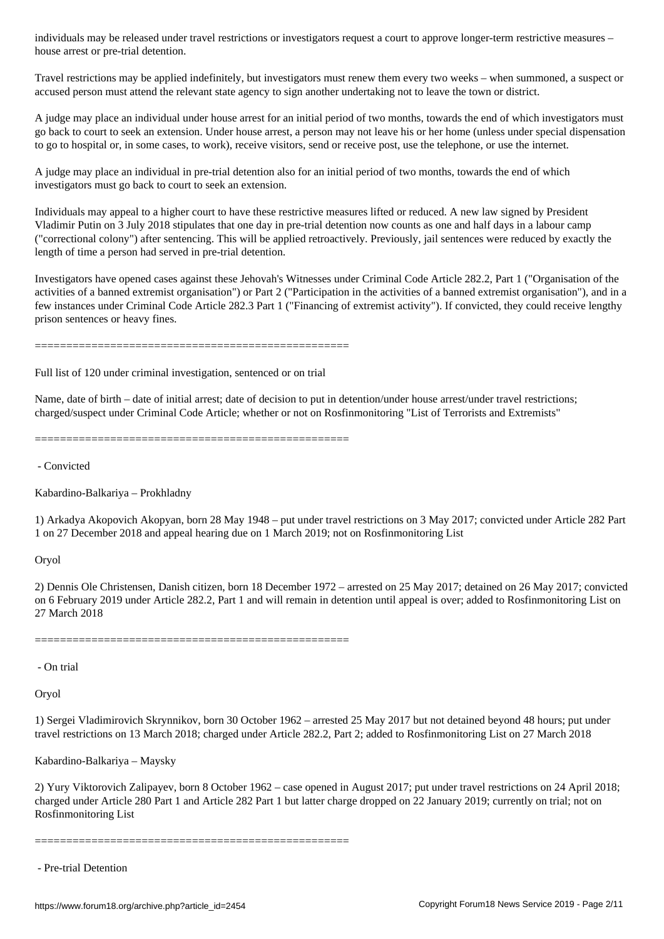Travel restrictions may be applied indefinitely, but investigators must renew them every two weeks – when summoned, a suspect or accused person must attend the relevant state agency to sign another undertaking not to leave the town or district.

A judge may place an individual under house arrest for an initial period of two months, towards the end of which investigators must go back to court to seek an extension. Under house arrest, a person may not leave his or her home (unless under special dispensation to go to hospital or, in some cases, to work), receive visitors, send or receive post, use the telephone, or use the internet.

A judge may place an individual in pre-trial detention also for an initial period of two months, towards the end of which investigators must go back to court to seek an extension.

Individuals may appeal to a higher court to have these restrictive measures lifted or reduced. A new law signed by President Vladimir Putin on 3 July 2018 stipulates that one day in pre-trial detention now counts as one and half days in a labour camp ("correctional colony") after sentencing. This will be applied retroactively. Previously, jail sentences were reduced by exactly the length of time a person had served in pre-trial detention.

Investigators have opened cases against these Jehovah's Witnesses under Criminal Code Article 282.2, Part 1 ("Organisation of the activities of a banned extremist organisation") or Part 2 ("Participation in the activities of a banned extremist organisation"), and in a few instances under Criminal Code Article 282.3 Part 1 ("Financing of extremist activity"). If convicted, they could receive lengthy prison sentences or heavy fines.

==================================================

Full list of 120 under criminal investigation, sentenced or on trial

Name, date of birth – date of initial arrest; date of decision to put in detention/under house arrest/under travel restrictions; charged/suspect under Criminal Code Article; whether or not on Rosfinmonitoring "List of Terrorists and Extremists"

==================================================

- Convicted

Kabardino-Balkariya – Prokhladny

house arrest or pre-trial determines arrest or pre-trial determines are pre-trial determines and determines are

1) Arkadya Akopovich Akopyan, born 28 May 1948 – put under travel restrictions on 3 May 2017; convicted under Article 282 Part 1 on 27 December 2018 and appeal hearing due on 1 March 2019; not on Rosfinmonitoring List

Oryol

2) Dennis Ole Christensen, Danish citizen, born 18 December 1972 – arrested on 25 May 2017; detained on 26 May 2017; convicted on 6 February 2019 under Article 282.2, Part 1 and will remain in detention until appeal is over; added to Rosfinmonitoring List on 27 March 2018

==================================================

- On trial

Oryol

1) Sergei Vladimirovich Skrynnikov, born 30 October 1962 – arrested 25 May 2017 but not detained beyond 48 hours; put under travel restrictions on 13 March 2018; charged under Article 282.2, Part 2; added to Rosfinmonitoring List on 27 March 2018

Kabardino-Balkariya – Maysky

2) Yury Viktorovich Zalipayev, born 8 October 1962 – case opened in August 2017; put under travel restrictions on 24 April 2018; charged under Article 280 Part 1 and Article 282 Part 1 but latter charge dropped on 22 January 2019; currently on trial; not on Rosfinmonitoring List

==================================================

- Pre-trial Detention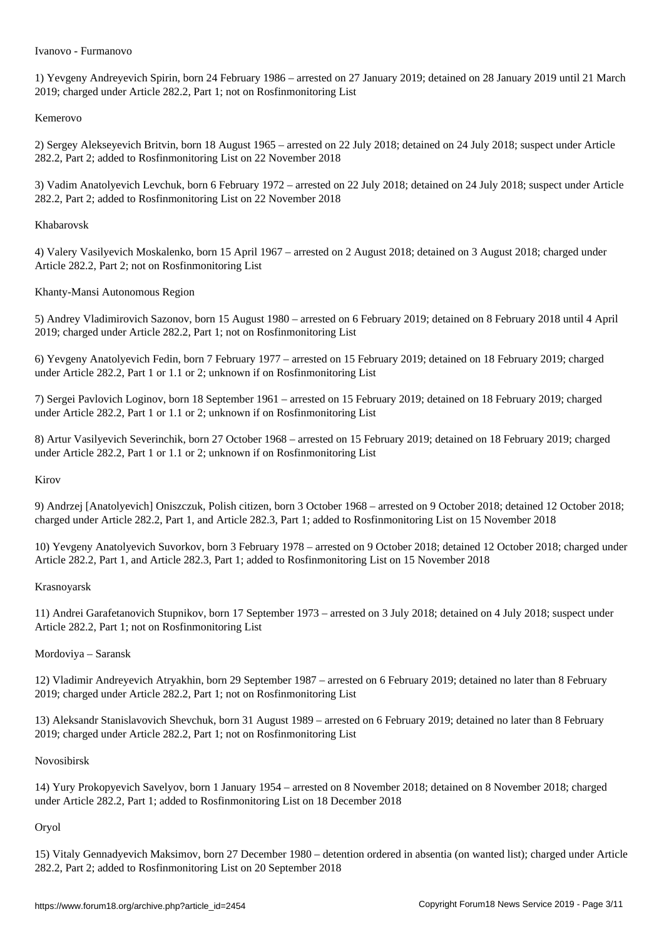1) Yevgeny Andreyevich Spirin, born 24 February 1986 – arrested on 27 January 2019; detained on 28 January 2019 until 21 March 2019; charged under Article 282.2, Part 1; not on Rosfinmonitoring List

#### Kemerovo

2) Sergey Alekseyevich Britvin, born 18 August 1965 – arrested on 22 July 2018; detained on 24 July 2018; suspect under Article 282.2, Part 2; added to Rosfinmonitoring List on 22 November 2018

3) Vadim Anatolyevich Levchuk, born 6 February 1972 – arrested on 22 July 2018; detained on 24 July 2018; suspect under Article 282.2, Part 2; added to Rosfinmonitoring List on 22 November 2018

# Khabarovsk

4) Valery Vasilyevich Moskalenko, born 15 April 1967 – arrested on 2 August 2018; detained on 3 August 2018; charged under Article 282.2, Part 2; not on Rosfinmonitoring List

Khanty-Mansi Autonomous Region

5) Andrey Vladimirovich Sazonov, born 15 August 1980 – arrested on 6 February 2019; detained on 8 February 2018 until 4 April 2019; charged under Article 282.2, Part 1; not on Rosfinmonitoring List

6) Yevgeny Anatolyevich Fedin, born 7 February 1977 – arrested on 15 February 2019; detained on 18 February 2019; charged under Article 282.2, Part 1 or 1.1 or 2; unknown if on Rosfinmonitoring List

7) Sergei Pavlovich Loginov, born 18 September 1961 – arrested on 15 February 2019; detained on 18 February 2019; charged under Article 282.2, Part 1 or 1.1 or 2; unknown if on Rosfinmonitoring List

8) Artur Vasilyevich Severinchik, born 27 October 1968 – arrested on 15 February 2019; detained on 18 February 2019; charged under Article 282.2, Part 1 or 1.1 or 2; unknown if on Rosfinmonitoring List

#### Kirov

9) Andrzej [Anatolyevich] Oniszczuk, Polish citizen, born 3 October 1968 – arrested on 9 October 2018; detained 12 October 2018; charged under Article 282.2, Part 1, and Article 282.3, Part 1; added to Rosfinmonitoring List on 15 November 2018

10) Yevgeny Anatolyevich Suvorkov, born 3 February 1978 – arrested on 9 October 2018; detained 12 October 2018; charged under Article 282.2, Part 1, and Article 282.3, Part 1; added to Rosfinmonitoring List on 15 November 2018

# Krasnoyarsk

11) Andrei Garafetanovich Stupnikov, born 17 September 1973 – arrested on 3 July 2018; detained on 4 July 2018; suspect under Article 282.2, Part 1; not on Rosfinmonitoring List

# Mordoviya – Saransk

12) Vladimir Andreyevich Atryakhin, born 29 September 1987 – arrested on 6 February 2019; detained no later than 8 February 2019; charged under Article 282.2, Part 1; not on Rosfinmonitoring List

13) Aleksandr Stanislavovich Shevchuk, born 31 August 1989 – arrested on 6 February 2019; detained no later than 8 February 2019; charged under Article 282.2, Part 1; not on Rosfinmonitoring List

#### Novosibirsk

14) Yury Prokopyevich Savelyov, born 1 January 1954 – arrested on 8 November 2018; detained on 8 November 2018; charged under Article 282.2, Part 1; added to Rosfinmonitoring List on 18 December 2018

# Oryol

15) Vitaly Gennadyevich Maksimov, born 27 December 1980 – detention ordered in absentia (on wanted list); charged under Article 282.2, Part 2; added to Rosfinmonitoring List on 20 September 2018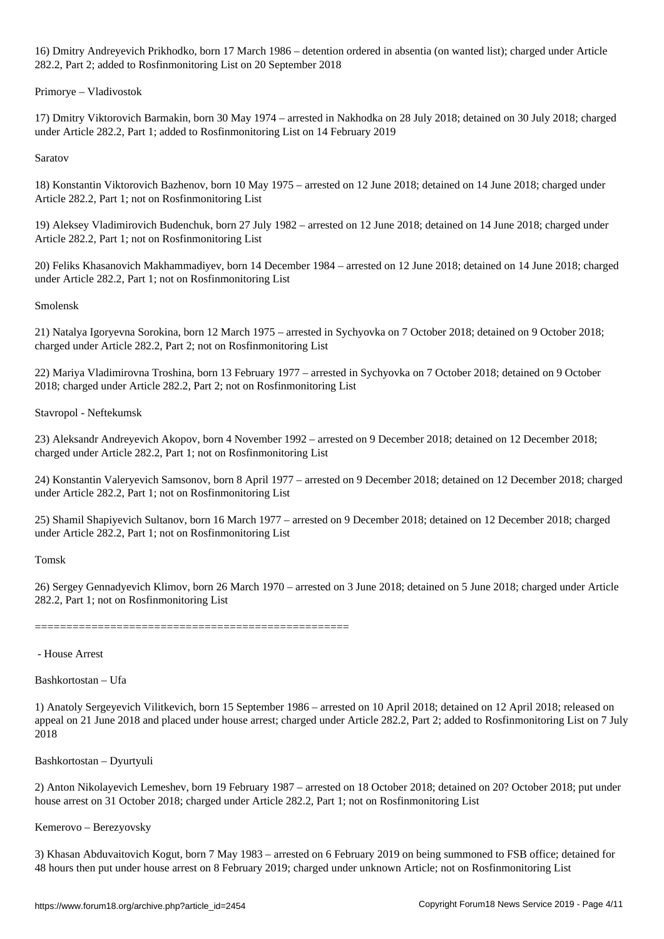16) Dmitry Andreyevich Prikhodko, born 17 March 1986 – detention ordered in absentia (on wanted list); charged under Article 282.2, Part 2; added to Rosfinmonitoring List on 20 September 2018

Primorye – Vladivostok

17) Dmitry Viktorovich Barmakin, born 30 May 1974 – arrested in Nakhodka on 28 July 2018; detained on 30 July 2018; charged under Article 282.2, Part 1; added to Rosfinmonitoring List on 14 February 2019

Saratov

18) Konstantin Viktorovich Bazhenov, born 10 May 1975 – arrested on 12 June 2018; detained on 14 June 2018; charged under Article 282.2, Part 1; not on Rosfinmonitoring List

19) Aleksey Vladimirovich Budenchuk, born 27 July 1982 – arrested on 12 June 2018; detained on 14 June 2018; charged under Article 282.2, Part 1; not on Rosfinmonitoring List

20) Feliks Khasanovich Makhammadiyev, born 14 December 1984 – arrested on 12 June 2018; detained on 14 June 2018; charged under Article 282.2, Part 1; not on Rosfinmonitoring List

Smolensk

21) Natalya Igoryevna Sorokina, born 12 March 1975 – arrested in Sychyovka on 7 October 2018; detained on 9 October 2018; charged under Article 282.2, Part 2; not on Rosfinmonitoring List

22) Mariya Vladimirovna Troshina, born 13 February 1977 – arrested in Sychyovka on 7 October 2018; detained on 9 October 2018; charged under Article 282.2, Part 2; not on Rosfinmonitoring List

Stavropol - Neftekumsk

23) Aleksandr Andreyevich Akopov, born 4 November 1992 – arrested on 9 December 2018; detained on 12 December 2018; charged under Article 282.2, Part 1; not on Rosfinmonitoring List

24) Konstantin Valeryevich Samsonov, born 8 April 1977 – arrested on 9 December 2018; detained on 12 December 2018; charged under Article 282.2, Part 1; not on Rosfinmonitoring List

25) Shamil Shapiyevich Sultanov, born 16 March 1977 – arrested on 9 December 2018; detained on 12 December 2018; charged under Article 282.2, Part 1; not on Rosfinmonitoring List

Tomsk

26) Sergey Gennadyevich Klimov, born 26 March 1970 – arrested on 3 June 2018; detained on 5 June 2018; charged under Article 282.2, Part 1; not on Rosfinmonitoring List

==================================================

- House Arrest

Bashkortostan – Ufa

1) Anatoly Sergeyevich Vilitkevich, born 15 September 1986 – arrested on 10 April 2018; detained on 12 April 2018; released on appeal on 21 June 2018 and placed under house arrest; charged under Article 282.2, Part 2; added to Rosfinmonitoring List on 7 July 2018

Bashkortostan – Dyurtyuli

2) Anton Nikolayevich Lemeshev, born 19 February 1987 – arrested on 18 October 2018; detained on 20? October 2018; put under house arrest on 31 October 2018; charged under Article 282.2, Part 1; not on Rosfinmonitoring List

Kemerovo – Berezyovsky

3) Khasan Abduvaitovich Kogut, born 7 May 1983 – arrested on 6 February 2019 on being summoned to FSB office; detained for 48 hours then put under house arrest on 8 February 2019; charged under unknown Article; not on Rosfinmonitoring List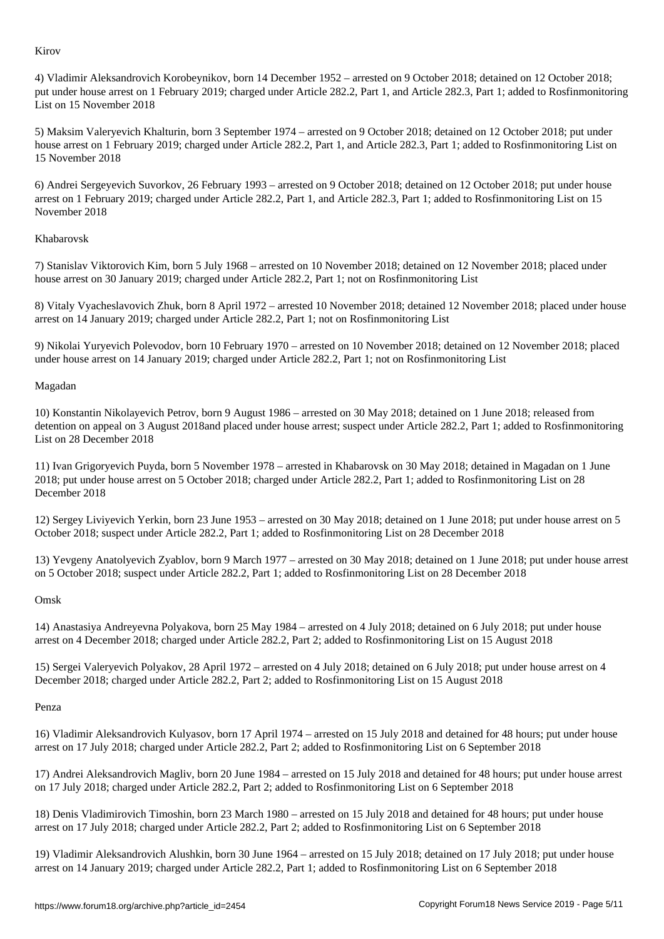4) Vladimir Aleksandrovich Korobeynikov, born 14 December 1952 – arrested on 9 October 2018; detained on 12 October 2018; put under house arrest on 1 February 2019; charged under Article 282.2, Part 1, and Article 282.3, Part 1; added to Rosfinmonitoring List on 15 November 2018

5) Maksim Valeryevich Khalturin, born 3 September 1974 – arrested on 9 October 2018; detained on 12 October 2018; put under house arrest on 1 February 2019; charged under Article 282.2, Part 1, and Article 282.3, Part 1; added to Rosfinmonitoring List on 15 November 2018

6) Andrei Sergeyevich Suvorkov, 26 February 1993 – arrested on 9 October 2018; detained on 12 October 2018; put under house arrest on 1 February 2019; charged under Article 282.2, Part 1, and Article 282.3, Part 1; added to Rosfinmonitoring List on 15 November 2018

# Khabarovsk

7) Stanislav Viktorovich Kim, born 5 July 1968 – arrested on 10 November 2018; detained on 12 November 2018; placed under house arrest on 30 January 2019; charged under Article 282.2, Part 1; not on Rosfinmonitoring List

8) Vitaly Vyacheslavovich Zhuk, born 8 April 1972 – arrested 10 November 2018; detained 12 November 2018; placed under house arrest on 14 January 2019; charged under Article 282.2, Part 1; not on Rosfinmonitoring List

9) Nikolai Yuryevich Polevodov, born 10 February 1970 – arrested on 10 November 2018; detained on 12 November 2018; placed under house arrest on 14 January 2019; charged under Article 282.2, Part 1; not on Rosfinmonitoring List

#### Magadan

10) Konstantin Nikolayevich Petrov, born 9 August 1986 – arrested on 30 May 2018; detained on 1 June 2018; released from detention on appeal on 3 August 2018and placed under house arrest; suspect under Article 282.2, Part 1; added to Rosfinmonitoring List on 28 December 2018

11) Ivan Grigoryevich Puyda, born 5 November 1978 – arrested in Khabarovsk on 30 May 2018; detained in Magadan on 1 June 2018; put under house arrest on 5 October 2018; charged under Article 282.2, Part 1; added to Rosfinmonitoring List on 28 December 2018

12) Sergey Liviyevich Yerkin, born 23 June 1953 – arrested on 30 May 2018; detained on 1 June 2018; put under house arrest on 5 October 2018; suspect under Article 282.2, Part 1; added to Rosfinmonitoring List on 28 December 2018

13) Yevgeny Anatolyevich Zyablov, born 9 March 1977 – arrested on 30 May 2018; detained on 1 June 2018; put under house arrest on 5 October 2018; suspect under Article 282.2, Part 1; added to Rosfinmonitoring List on 28 December 2018

# Omsk

14) Anastasiya Andreyevna Polyakova, born 25 May 1984 – arrested on 4 July 2018; detained on 6 July 2018; put under house arrest on 4 December 2018; charged under Article 282.2, Part 2; added to Rosfinmonitoring List on 15 August 2018

15) Sergei Valeryevich Polyakov, 28 April 1972 – arrested on 4 July 2018; detained on 6 July 2018; put under house arrest on 4 December 2018; charged under Article 282.2, Part 2; added to Rosfinmonitoring List on 15 August 2018

#### Penza

16) Vladimir Aleksandrovich Kulyasov, born 17 April 1974 – arrested on 15 July 2018 and detained for 48 hours; put under house arrest on 17 July 2018; charged under Article 282.2, Part 2; added to Rosfinmonitoring List on 6 September 2018

17) Andrei Aleksandrovich Magliv, born 20 June 1984 – arrested on 15 July 2018 and detained for 48 hours; put under house arrest on 17 July 2018; charged under Article 282.2, Part 2; added to Rosfinmonitoring List on 6 September 2018

18) Denis Vladimirovich Timoshin, born 23 March 1980 – arrested on 15 July 2018 and detained for 48 hours; put under house arrest on 17 July 2018; charged under Article 282.2, Part 2; added to Rosfinmonitoring List on 6 September 2018

19) Vladimir Aleksandrovich Alushkin, born 30 June 1964 – arrested on 15 July 2018; detained on 17 July 2018; put under house arrest on 14 January 2019; charged under Article 282.2, Part 1; added to Rosfinmonitoring List on 6 September 2018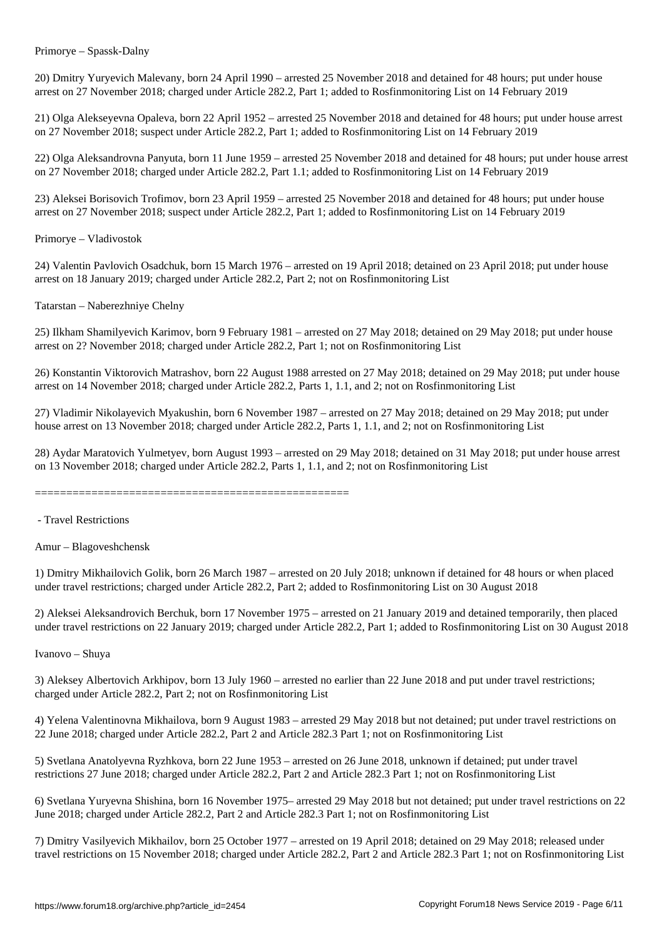Primorye – Spassk-Dalny

20) Dmitry Yuryevich Malevany, born 24 April 1990 – arrested 25 November 2018 and detained for 48 hours; put under house arrest on 27 November 2018; charged under Article 282.2, Part 1; added to Rosfinmonitoring List on 14 February 2019

21) Olga Alekseyevna Opaleva, born 22 April 1952 – arrested 25 November 2018 and detained for 48 hours; put under house arrest on 27 November 2018; suspect under Article 282.2, Part 1; added to Rosfinmonitoring List on 14 February 2019

22) Olga Aleksandrovna Panyuta, born 11 June 1959 – arrested 25 November 2018 and detained for 48 hours; put under house arrest on 27 November 2018; charged under Article 282.2, Part 1.1; added to Rosfinmonitoring List on 14 February 2019

23) Aleksei Borisovich Trofimov, born 23 April 1959 – arrested 25 November 2018 and detained for 48 hours; put under house arrest on 27 November 2018; suspect under Article 282.2, Part 1; added to Rosfinmonitoring List on 14 February 2019

Primorye – Vladivostok

24) Valentin Pavlovich Osadchuk, born 15 March 1976 – arrested on 19 April 2018; detained on 23 April 2018; put under house arrest on 18 January 2019; charged under Article 282.2, Part 2; not on Rosfinmonitoring List

Tatarstan – Naberezhniye Chelny

25) Ilkham Shamilyevich Karimov, born 9 February 1981 – arrested on 27 May 2018; detained on 29 May 2018; put under house arrest on 2? November 2018; charged under Article 282.2, Part 1; not on Rosfinmonitoring List

26) Konstantin Viktorovich Matrashov, born 22 August 1988 arrested on 27 May 2018; detained on 29 May 2018; put under house arrest on 14 November 2018; charged under Article 282.2, Parts 1, 1.1, and 2; not on Rosfinmonitoring List

27) Vladimir Nikolayevich Myakushin, born 6 November 1987 – arrested on 27 May 2018; detained on 29 May 2018; put under house arrest on 13 November 2018; charged under Article 282.2, Parts 1, 1.1, and 2; not on Rosfinmonitoring List

28) Aydar Maratovich Yulmetyev, born August 1993 – arrested on 29 May 2018; detained on 31 May 2018; put under house arrest on 13 November 2018; charged under Article 282.2, Parts 1, 1.1, and 2; not on Rosfinmonitoring List

==================================================

- Travel Restrictions

Amur – Blagoveshchensk

1) Dmitry Mikhailovich Golik, born 26 March 1987 – arrested on 20 July 2018; unknown if detained for 48 hours or when placed under travel restrictions; charged under Article 282.2, Part 2; added to Rosfinmonitoring List on 30 August 2018

2) Aleksei Aleksandrovich Berchuk, born 17 November 1975 – arrested on 21 January 2019 and detained temporarily, then placed under travel restrictions on 22 January 2019; charged under Article 282.2, Part 1; added to Rosfinmonitoring List on 30 August 2018

Ivanovo – Shuya

3) Aleksey Albertovich Arkhipov, born 13 July 1960 – arrested no earlier than 22 June 2018 and put under travel restrictions; charged under Article 282.2, Part 2; not on Rosfinmonitoring List

4) Yelena Valentinovna Mikhailova, born 9 August 1983 – arrested 29 May 2018 but not detained; put under travel restrictions on 22 June 2018; charged under Article 282.2, Part 2 and Article 282.3 Part 1; not on Rosfinmonitoring List

5) Svetlana Anatolyevna Ryzhkova, born 22 June 1953 – arrested on 26 June 2018, unknown if detained; put under travel restrictions 27 June 2018; charged under Article 282.2, Part 2 and Article 282.3 Part 1; not on Rosfinmonitoring List

6) Svetlana Yuryevna Shishina, born 16 November 1975– arrested 29 May 2018 but not detained; put under travel restrictions on 22 June 2018; charged under Article 282.2, Part 2 and Article 282.3 Part 1; not on Rosfinmonitoring List

7) Dmitry Vasilyevich Mikhailov, born 25 October 1977 – arrested on 19 April 2018; detained on 29 May 2018; released under travel restrictions on 15 November 2018; charged under Article 282.2, Part 2 and Article 282.3 Part 1; not on Rosfinmonitoring List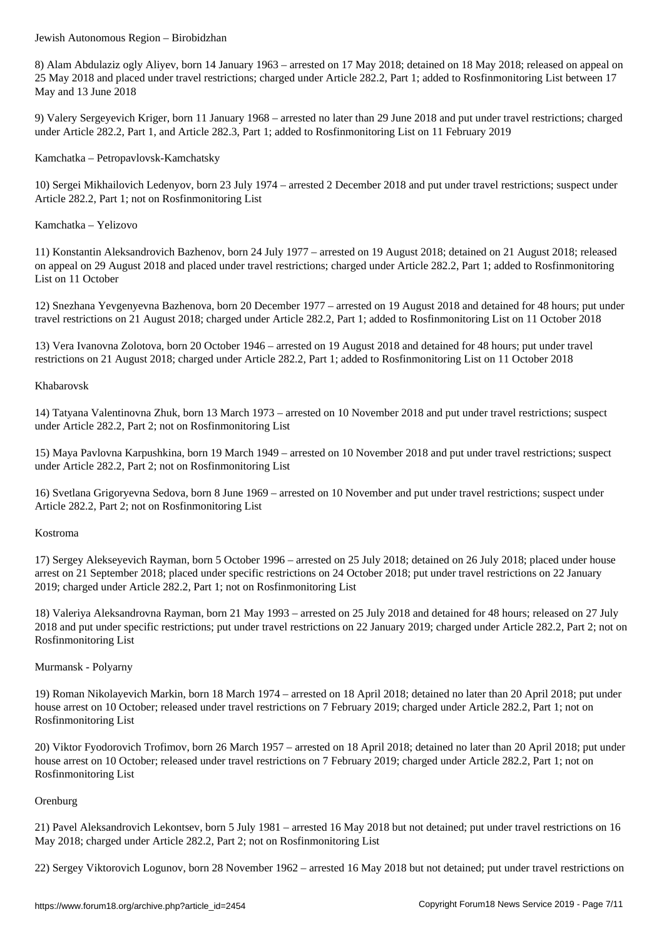8) Alam Abdulaziz ogly Aliyev, born 14 January 1963 – arrested on 17 May 2018; detained on 18 May 2018; released on appeal on 25 May 2018 and placed under travel restrictions; charged under Article 282.2, Part 1; added to Rosfinmonitoring List between 17 May and 13 June 2018

9) Valery Sergeyevich Kriger, born 11 January 1968 – arrested no later than 29 June 2018 and put under travel restrictions; charged under Article 282.2, Part 1, and Article 282.3, Part 1; added to Rosfinmonitoring List on 11 February 2019

Kamchatka – Petropavlovsk-Kamchatsky

10) Sergei Mikhailovich Ledenyov, born 23 July 1974 – arrested 2 December 2018 and put under travel restrictions; suspect under Article 282.2, Part 1; not on Rosfinmonitoring List

Kamchatka – Yelizovo

11) Konstantin Aleksandrovich Bazhenov, born 24 July 1977 – arrested on 19 August 2018; detained on 21 August 2018; released on appeal on 29 August 2018 and placed under travel restrictions; charged under Article 282.2, Part 1; added to Rosfinmonitoring List on 11 October

12) Snezhana Yevgenyevna Bazhenova, born 20 December 1977 – arrested on 19 August 2018 and detained for 48 hours; put under travel restrictions on 21 August 2018; charged under Article 282.2, Part 1; added to Rosfinmonitoring List on 11 October 2018

13) Vera Ivanovna Zolotova, born 20 October 1946 – arrested on 19 August 2018 and detained for 48 hours; put under travel restrictions on 21 August 2018; charged under Article 282.2, Part 1; added to Rosfinmonitoring List on 11 October 2018

#### Khabarovsk

14) Tatyana Valentinovna Zhuk, born 13 March 1973 – arrested on 10 November 2018 and put under travel restrictions; suspect under Article 282.2, Part 2; not on Rosfinmonitoring List

15) Maya Pavlovna Karpushkina, born 19 March 1949 – arrested on 10 November 2018 and put under travel restrictions; suspect under Article 282.2, Part 2; not on Rosfinmonitoring List

16) Svetlana Grigoryevna Sedova, born 8 June 1969 – arrested on 10 November and put under travel restrictions; suspect under Article 282.2, Part 2; not on Rosfinmonitoring List

#### Kostroma

17) Sergey Alekseyevich Rayman, born 5 October 1996 – arrested on 25 July 2018; detained on 26 July 2018; placed under house arrest on 21 September 2018; placed under specific restrictions on 24 October 2018; put under travel restrictions on 22 January 2019; charged under Article 282.2, Part 1; not on Rosfinmonitoring List

18) Valeriya Aleksandrovna Rayman, born 21 May 1993 – arrested on 25 July 2018 and detained for 48 hours; released on 27 July 2018 and put under specific restrictions; put under travel restrictions on 22 January 2019; charged under Article 282.2, Part 2; not on Rosfinmonitoring List

# Murmansk - Polyarny

19) Roman Nikolayevich Markin, born 18 March 1974 – arrested on 18 April 2018; detained no later than 20 April 2018; put under house arrest on 10 October; released under travel restrictions on 7 February 2019; charged under Article 282.2, Part 1; not on Rosfinmonitoring List

20) Viktor Fyodorovich Trofimov, born 26 March 1957 – arrested on 18 April 2018; detained no later than 20 April 2018; put under house arrest on 10 October; released under travel restrictions on 7 February 2019; charged under Article 282.2, Part 1; not on Rosfinmonitoring List

# **Orenburg**

21) Pavel Aleksandrovich Lekontsev, born 5 July 1981 – arrested 16 May 2018 but not detained; put under travel restrictions on 16 May 2018; charged under Article 282.2, Part 2; not on Rosfinmonitoring List

22) Sergey Viktorovich Logunov, born 28 November 1962 – arrested 16 May 2018 but not detained; put under travel restrictions on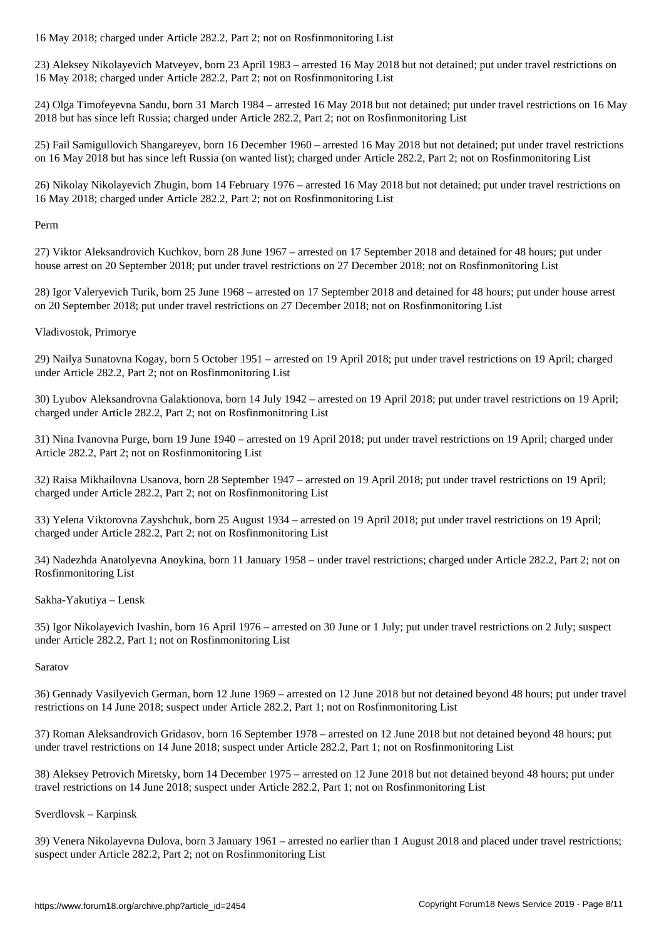23) Aleksey Nikolayevich Matveyev, born 23 April 1983 – arrested 16 May 2018 but not detained; put under travel restrictions on 16 May 2018; charged under Article 282.2, Part 2; not on Rosfinmonitoring List

24) Olga Timofeyevna Sandu, born 31 March 1984 – arrested 16 May 2018 but not detained; put under travel restrictions on 16 May 2018 but has since left Russia; charged under Article 282.2, Part 2; not on Rosfinmonitoring List

25) Fail Samigullovich Shangareyev, born 16 December 1960 – arrested 16 May 2018 but not detained; put under travel restrictions on 16 May 2018 but has since left Russia (on wanted list); charged under Article 282.2, Part 2; not on Rosfinmonitoring List

26) Nikolay Nikolayevich Zhugin, born 14 February 1976 – arrested 16 May 2018 but not detained; put under travel restrictions on 16 May 2018; charged under Article 282.2, Part 2; not on Rosfinmonitoring List

Perm

27) Viktor Aleksandrovich Kuchkov, born 28 June 1967 – arrested on 17 September 2018 and detained for 48 hours; put under house arrest on 20 September 2018; put under travel restrictions on 27 December 2018; not on Rosfinmonitoring List

28) Igor Valeryevich Turik, born 25 June 1968 – arrested on 17 September 2018 and detained for 48 hours; put under house arrest on 20 September 2018; put under travel restrictions on 27 December 2018; not on Rosfinmonitoring List

Vladivostok, Primorye

29) Nailya Sunatovna Kogay, born 5 October 1951 – arrested on 19 April 2018; put under travel restrictions on 19 April; charged under Article 282.2, Part 2; not on Rosfinmonitoring List

30) Lyubov Aleksandrovna Galaktionova, born 14 July 1942 – arrested on 19 April 2018; put under travel restrictions on 19 April; charged under Article 282.2, Part 2; not on Rosfinmonitoring List

31) Nina Ivanovna Purge, born 19 June 1940 – arrested on 19 April 2018; put under travel restrictions on 19 April; charged under Article 282.2, Part 2; not on Rosfinmonitoring List

32) Raisa Mikhailovna Usanova, born 28 September 1947 – arrested on 19 April 2018; put under travel restrictions on 19 April; charged under Article 282.2, Part 2; not on Rosfinmonitoring List

33) Yelena Viktorovna Zayshchuk, born 25 August 1934 – arrested on 19 April 2018; put under travel restrictions on 19 April; charged under Article 282.2, Part 2; not on Rosfinmonitoring List

34) Nadezhda Anatolyevna Anoykina, born 11 January 1958 – under travel restrictions; charged under Article 282.2, Part 2; not on Rosfinmonitoring List

Sakha-Yakutiya – Lensk

35) Igor Nikolayevich Ivashin, born 16 April 1976 – arrested on 30 June or 1 July; put under travel restrictions on 2 July; suspect under Article 282.2, Part 1; not on Rosfinmonitoring List

#### Saratov

36) Gennady Vasilyevich German, born 12 June 1969 – arrested on 12 June 2018 but not detained beyond 48 hours; put under travel restrictions on 14 June 2018; suspect under Article 282.2, Part 1; not on Rosfinmonitoring List

37) Roman Aleksandrovich Gridasov, born 16 September 1978 – arrested on 12 June 2018 but not detained beyond 48 hours; put under travel restrictions on 14 June 2018; suspect under Article 282.2, Part 1; not on Rosfinmonitoring List

38) Aleksey Petrovich Miretsky, born 14 December 1975 – arrested on 12 June 2018 but not detained beyond 48 hours; put under travel restrictions on 14 June 2018; suspect under Article 282.2, Part 1; not on Rosfinmonitoring List

Sverdlovsk – Karpinsk

39) Venera Nikolayevna Dulova, born 3 January 1961 – arrested no earlier than 1 August 2018 and placed under travel restrictions; suspect under Article 282.2, Part 2; not on Rosfinmonitoring List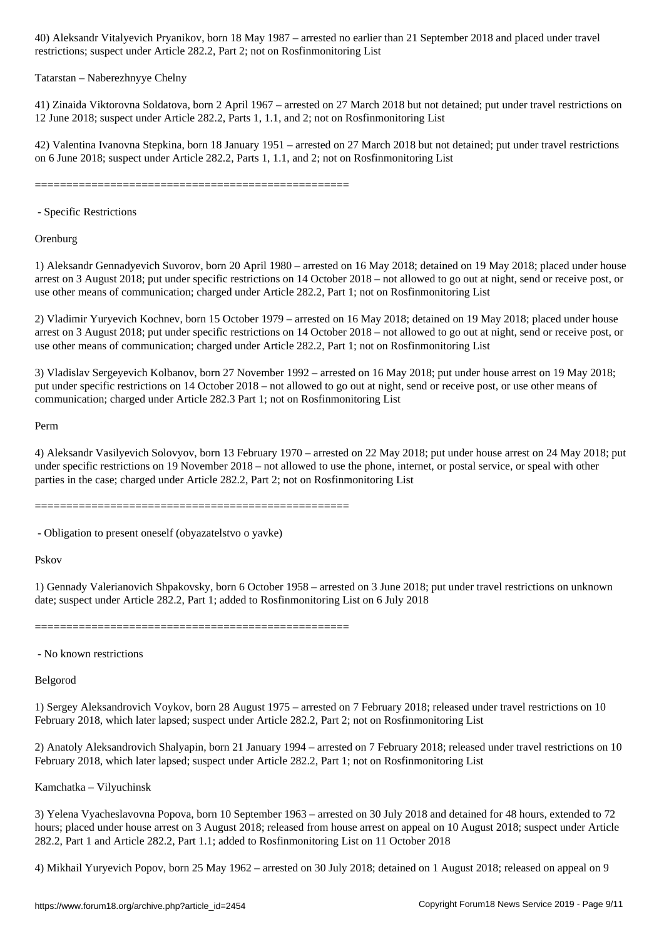restrictions; suspect under Article 282.2, Part 2; not on Rosfinmonitoring List

#### Tatarstan – Naberezhnyye Chelny

41) Zinaida Viktorovna Soldatova, born 2 April 1967 – arrested on 27 March 2018 but not detained; put under travel restrictions on 12 June 2018; suspect under Article 282.2, Parts 1, 1.1, and 2; not on Rosfinmonitoring List

42) Valentina Ivanovna Stepkina, born 18 January 1951 – arrested on 27 March 2018 but not detained; put under travel restrictions on 6 June 2018; suspect under Article 282.2, Parts 1, 1.1, and 2; not on Rosfinmonitoring List

==================================================

- Specific Restrictions

**Orenburg** 

1) Aleksandr Gennadyevich Suvorov, born 20 April 1980 – arrested on 16 May 2018; detained on 19 May 2018; placed under house arrest on 3 August 2018; put under specific restrictions on 14 October 2018 – not allowed to go out at night, send or receive post, or use other means of communication; charged under Article 282.2, Part 1; not on Rosfinmonitoring List

2) Vladimir Yuryevich Kochnev, born 15 October 1979 – arrested on 16 May 2018; detained on 19 May 2018; placed under house arrest on 3 August 2018; put under specific restrictions on 14 October 2018 – not allowed to go out at night, send or receive post, or use other means of communication; charged under Article 282.2, Part 1; not on Rosfinmonitoring List

3) Vladislav Sergeyevich Kolbanov, born 27 November 1992 – arrested on 16 May 2018; put under house arrest on 19 May 2018; put under specific restrictions on 14 October 2018 – not allowed to go out at night, send or receive post, or use other means of communication; charged under Article 282.3 Part 1; not on Rosfinmonitoring List

Perm

4) Aleksandr Vasilyevich Solovyov, born 13 February 1970 – arrested on 22 May 2018; put under house arrest on 24 May 2018; put under specific restrictions on 19 November 2018 – not allowed to use the phone, internet, or postal service, or speal with other parties in the case; charged under Article 282.2, Part 2; not on Rosfinmonitoring List

==================================================

- Obligation to present oneself (obyazatelstvo o yavke)

Pskov

1) Gennady Valerianovich Shpakovsky, born 6 October 1958 – arrested on 3 June 2018; put under travel restrictions on unknown date; suspect under Article 282.2, Part 1; added to Rosfinmonitoring List on 6 July 2018

==================================================

- No known restrictions

Belgorod

1) Sergey Aleksandrovich Voykov, born 28 August 1975 – arrested on 7 February 2018; released under travel restrictions on 10 February 2018, which later lapsed; suspect under Article 282.2, Part 2; not on Rosfinmonitoring List

2) Anatoly Aleksandrovich Shalyapin, born 21 January 1994 – arrested on 7 February 2018; released under travel restrictions on 10 February 2018, which later lapsed; suspect under Article 282.2, Part 1; not on Rosfinmonitoring List

Kamchatka – Vilyuchinsk

3) Yelena Vyacheslavovna Popova, born 10 September 1963 – arrested on 30 July 2018 and detained for 48 hours, extended to 72 hours; placed under house arrest on 3 August 2018; released from house arrest on appeal on 10 August 2018; suspect under Article 282.2, Part 1 and Article 282.2, Part 1.1; added to Rosfinmonitoring List on 11 October 2018

4) Mikhail Yuryevich Popov, born 25 May 1962 – arrested on 30 July 2018; detained on 1 August 2018; released on appeal on 9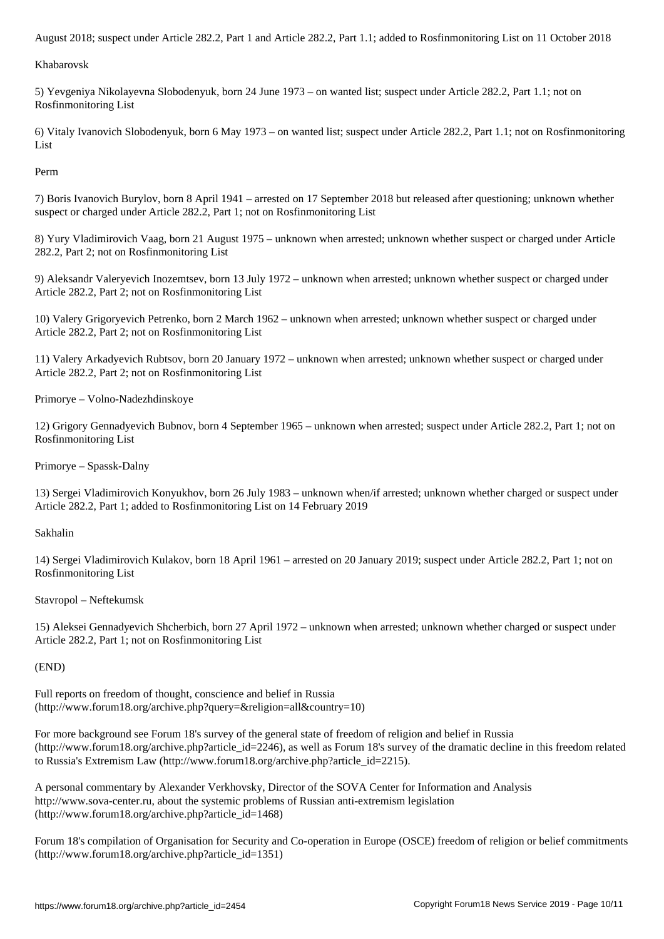Khabarovsk

5) Yevgeniya Nikolayevna Slobodenyuk, born 24 June 1973 – on wanted list; suspect under Article 282.2, Part 1.1; not on Rosfinmonitoring List

6) Vitaly Ivanovich Slobodenyuk, born 6 May 1973 – on wanted list; suspect under Article 282.2, Part 1.1; not on Rosfinmonitoring List

Perm

7) Boris Ivanovich Burylov, born 8 April 1941 – arrested on 17 September 2018 but released after questioning; unknown whether suspect or charged under Article 282.2, Part 1; not on Rosfinmonitoring List

8) Yury Vladimirovich Vaag, born 21 August 1975 – unknown when arrested; unknown whether suspect or charged under Article 282.2, Part 2; not on Rosfinmonitoring List

9) Aleksandr Valeryevich Inozemtsev, born 13 July 1972 – unknown when arrested; unknown whether suspect or charged under Article 282.2, Part 2; not on Rosfinmonitoring List

10) Valery Grigoryevich Petrenko, born 2 March 1962 – unknown when arrested; unknown whether suspect or charged under Article 282.2, Part 2; not on Rosfinmonitoring List

11) Valery Arkadyevich Rubtsov, born 20 January 1972 – unknown when arrested; unknown whether suspect or charged under Article 282.2, Part 2; not on Rosfinmonitoring List

Primorye – Volno-Nadezhdinskoye

12) Grigory Gennadyevich Bubnov, born 4 September 1965 – unknown when arrested; suspect under Article 282.2, Part 1; not on Rosfinmonitoring List

Primorye – Spassk-Dalny

13) Sergei Vladimirovich Konyukhov, born 26 July 1983 – unknown when/if arrested; unknown whether charged or suspect under Article 282.2, Part 1; added to Rosfinmonitoring List on 14 February 2019

Sakhalin

14) Sergei Vladimirovich Kulakov, born 18 April 1961 – arrested on 20 January 2019; suspect under Article 282.2, Part 1; not on Rosfinmonitoring List

Stavropol – Neftekumsk

15) Aleksei Gennadyevich Shcherbich, born 27 April 1972 – unknown when arrested; unknown whether charged or suspect under Article 282.2, Part 1; not on Rosfinmonitoring List

(END)

Full reports on freedom of thought, conscience and belief in Russia (http://www.forum18.org/archive.php?query=&religion=all&country=10)

For more background see Forum 18's survey of the general state of freedom of religion and belief in Russia (http://www.forum18.org/archive.php?article\_id=2246), as well as Forum 18's survey of the dramatic decline in this freedom related to Russia's Extremism Law (http://www.forum18.org/archive.php?article\_id=2215).

A personal commentary by Alexander Verkhovsky, Director of the SOVA Center for Information and Analysis http://www.sova-center.ru, about the systemic problems of Russian anti-extremism legislation (http://www.forum18.org/archive.php?article\_id=1468)

Forum 18's compilation of Organisation for Security and Co-operation in Europe (OSCE) freedom of religion or belief commitments (http://www.forum18.org/archive.php?article\_id=1351)